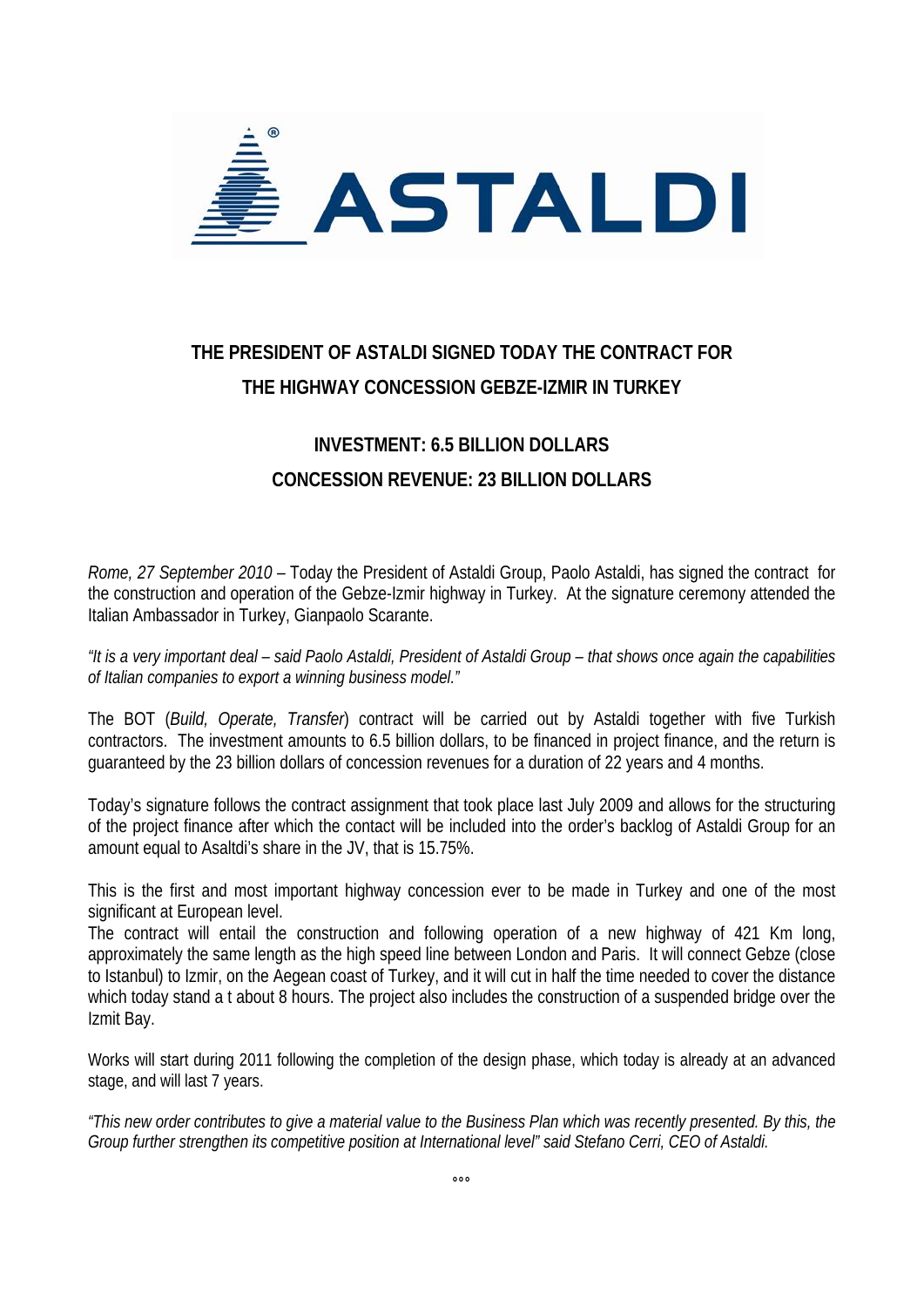

## **THE PRESIDENT OF ASTALDI SIGNED TODAY THE CONTRACT FOR THE HIGHWAY CONCESSION GEBZE-IZMIR IN TURKEY**

## **INVESTMENT: 6.5 BILLION DOLLARS CONCESSION REVENUE: 23 BILLION DOLLARS**

*Rome, 27 September 2010* – Today the President of Astaldi Group, Paolo Astaldi, has signed the contract for the construction and operation of the Gebze-Izmir highway in Turkey. At the signature ceremony attended the Italian Ambassador in Turkey, Gianpaolo Scarante.

*"It is a very important deal – said Paolo Astaldi, President of Astaldi Group – that shows once again the capabilities of Italian companies to export a winning business model."* 

The BOT (*Build, Operate, Transfer*) contract will be carried out by Astaldi together with five Turkish contractors. The investment amounts to 6.5 billion dollars, to be financed in project finance, and the return is guaranteed by the 23 billion dollars of concession revenues for a duration of 22 years and 4 months.

Today's signature follows the contract assignment that took place last July 2009 and allows for the structuring of the project finance after which the contact will be included into the order's backlog of Astaldi Group for an amount equal to Asaltdi's share in the JV, that is 15.75%.

This is the first and most important highway concession ever to be made in Turkey and one of the most significant at European level.

The contract will entail the construction and following operation of a new highway of 421 Km long, approximately the same length as the high speed line between London and Paris. It will connect Gebze (close to Istanbul) to Izmir, on the Aegean coast of Turkey, and it will cut in half the time needed to cover the distance which today stand a t about 8 hours. The project also includes the construction of a suspended bridge over the Izmit Bay.

Works will start during 2011 following the completion of the design phase, which today is already at an advanced stage, and will last 7 years.

*"This new order contributes to give a material value to the Business Plan which was recently presented. By this, the Group further strengthen its competitive position at International level" said Stefano Cerri, CEO of Astaldi.*